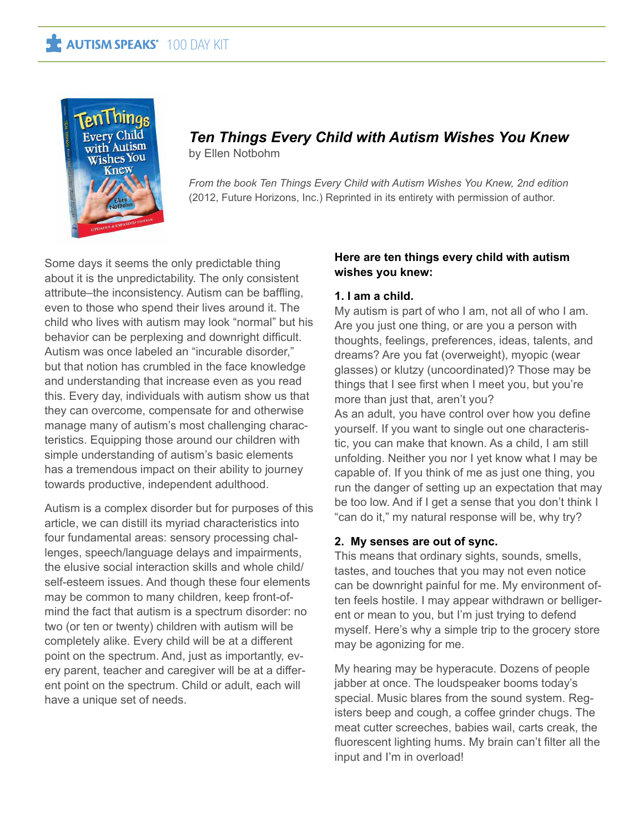

# *Ten Things Every Child with Autism Wishes You Knew* by Ellen Notbohm

*From the book Ten Things Every Child with Autism Wishes You Knew, 2nd edition* (2012, Future Horizons, Inc.) Reprinted in its entirety with permission of author.

Some days it seems the only predictable thing about it is the unpredictability. The only consistent attribute–the inconsistency. Autism can be baffling, even to those who spend their lives around it. The child who lives with autism may look "normal" but his behavior can be perplexing and downright difficult. Autism was once labeled an "incurable disorder," but that notion has crumbled in the face knowledge and understanding that increase even as you read this. Every day, individuals with autism show us that they can overcome, compensate for and otherwise manage many of autism's most challenging characteristics. Equipping those around our children with simple understanding of autism's basic elements has a tremendous impact on their ability to journey towards productive, independent adulthood.

Autism is a complex disorder but for purposes of this article, we can distill its myriad characteristics into four fundamental areas: sensory processing challenges, speech/language delays and impairments, the elusive social interaction skills and whole child/ self-esteem issues. And though these four elements may be common to many children, keep front-ofmind the fact that autism is a spectrum disorder: no two (or ten or twenty) children with autism will be completely alike. Every child will be at a different point on the spectrum. And, just as importantly, every parent, teacher and caregiver will be at a different point on the spectrum. Child or adult, each will have a unique set of needs.

### **Here are ten things every child with autism wishes you knew:**

### **1. I am a child.**

My autism is part of who I am, not all of who I am. Are you just one thing, or are you a person with thoughts, feelings, preferences, ideas, talents, and dreams? Are you fat (overweight), myopic (wear glasses) or klutzy (uncoordinated)? Those may be things that I see first when I meet you, but you're more than just that, aren't you? As an adult, you have control over how you define yourself. If you want to single out one characteristic, you can make that known. As a child, I am still unfolding. Neither you nor I yet know what I may be capable of. If you think of me as just one thing, you run the danger of setting up an expectation that may be too low. And if I get a sense that you don't think I "can do it," my natural response will be, why try?

#### **2. My senses are out of sync.**

This means that ordinary sights, sounds, smells, tastes, and touches that you may not even notice can be downright painful for me. My environment often feels hostile. I may appear withdrawn or belligerent or mean to you, but I'm just trying to defend myself. Here's why a simple trip to the grocery store may be agonizing for me.

My hearing may be hyperacute. Dozens of people jabber at once. The loudspeaker booms today's special. Music blares from the sound system. Registers beep and cough, a coffee grinder chugs. The meat cutter screeches, babies wail, carts creak, the fluorescent lighting hums. My brain can't filter all the input and I'm in overload!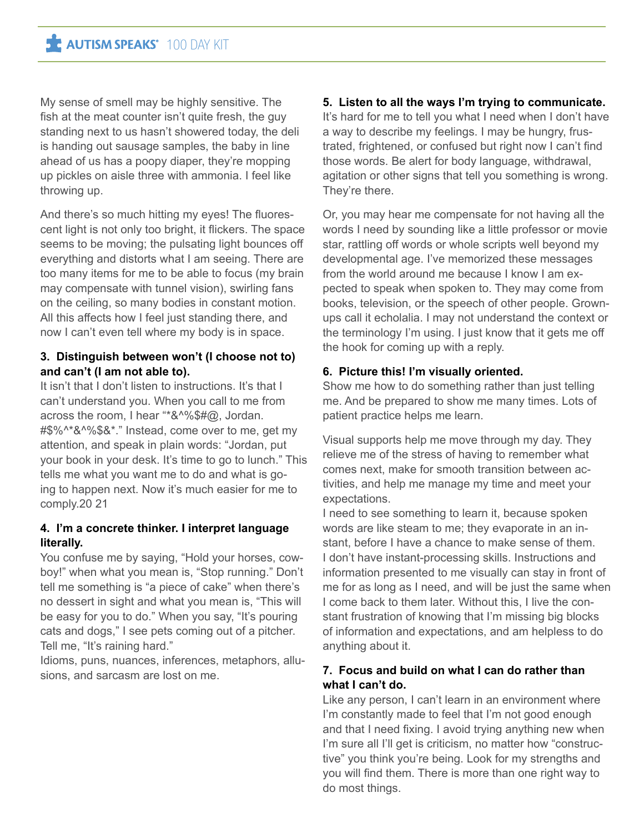My sense of smell may be highly sensitive. The fish at the meat counter isn't quite fresh, the guy standing next to us hasn't showered today, the deli is handing out sausage samples, the baby in line ahead of us has a poopy diaper, they're mopping up pickles on aisle three with ammonia. I feel like throwing up.

And there's so much hitting my eyes! The fluorescent light is not only too bright, it flickers. The space seems to be moving; the pulsating light bounces off everything and distorts what I am seeing. There are too many items for me to be able to focus (my brain may compensate with tunnel vision), swirling fans on the ceiling, so many bodies in constant motion. All this affects how I feel just standing there, and now I can't even tell where my body is in space.

## **3. Distinguish between won't (I choose not to) and can't (I am not able to).**

It isn't that I don't listen to instructions. It's that I can't understand you. When you call to me from across the room, I hear "\*&^%\$#@, Jordan. #\$%^\*&^%\$&\*." Instead, come over to me, get my attention, and speak in plain words: "Jordan, put your book in your desk. It's time to go to lunch." This tells me what you want me to do and what is going to happen next. Now it's much easier for me to comply.20 21

### **4. I'm a concrete thinker. I interpret language literally.**

You confuse me by saying, "Hold your horses, cowboy!" when what you mean is, "Stop running." Don't tell me something is "a piece of cake" when there's no dessert in sight and what you mean is, "This will be easy for you to do." When you say, "It's pouring cats and dogs," I see pets coming out of a pitcher. Tell me, "It's raining hard."

Idioms, puns, nuances, inferences, metaphors, allusions, and sarcasm are lost on me.

# **5. Listen to all the ways I'm trying to communicate.**

It's hard for me to tell you what I need when I don't have a way to describe my feelings. I may be hungry, frustrated, frightened, or confused but right now I can't find those words. Be alert for body language, withdrawal, agitation or other signs that tell you something is wrong. They're there.

Or, you may hear me compensate for not having all the words I need by sounding like a little professor or movie star, rattling off words or whole scripts well beyond my developmental age. I've memorized these messages from the world around me because I know I am expected to speak when spoken to. They may come from books, television, or the speech of other people. Grownups call it echolalia. I may not understand the context or the terminology I'm using. I just know that it gets me off the hook for coming up with a reply.

## **6. Picture this! I'm visually oriented.**

Show me how to do something rather than just telling me. And be prepared to show me many times. Lots of patient practice helps me learn.

Visual supports help me move through my day. They relieve me of the stress of having to remember what comes next, make for smooth transition between activities, and help me manage my time and meet your expectations.

I need to see something to learn it, because spoken words are like steam to me; they evaporate in an instant, before I have a chance to make sense of them. I don't have instant-processing skills. Instructions and information presented to me visually can stay in front of me for as long as I need, and will be just the same when I come back to them later. Without this, I live the constant frustration of knowing that I'm missing big blocks of information and expectations, and am helpless to do anything about it.

## **7. Focus and build on what I can do rather than what I can't do.**

Like any person, I can't learn in an environment where I'm constantly made to feel that I'm not good enough and that I need fixing. I avoid trying anything new when I'm sure all I'll get is criticism, no matter how "constructive" you think you're being. Look for my strengths and you will find them. There is more than one right way to do most things.